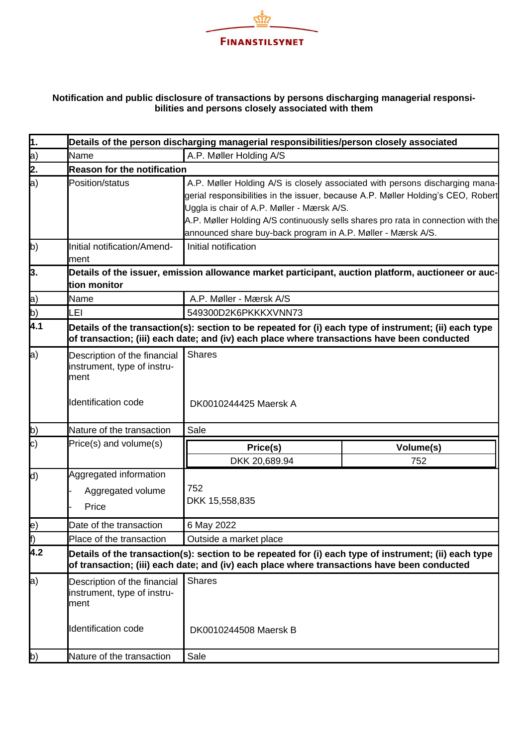

## **Notification and public disclosure of transactions by persons discharging managerial responsibilities and persons closely associated with them**

| $\overline{1}$ . |                                                                     | Details of the person discharging managerial responsibilities/person closely associated                                                                                                                                                                                                                                                                             |                  |  |  |
|------------------|---------------------------------------------------------------------|---------------------------------------------------------------------------------------------------------------------------------------------------------------------------------------------------------------------------------------------------------------------------------------------------------------------------------------------------------------------|------------------|--|--|
|                  | Name                                                                | A.P. Møller Holding A/S                                                                                                                                                                                                                                                                                                                                             |                  |  |  |
| a)<br>2.         | <b>Reason for the notification</b>                                  |                                                                                                                                                                                                                                                                                                                                                                     |                  |  |  |
| a)               | Position/status                                                     | A.P. Møller Holding A/S is closely associated with persons discharging mana-<br>gerial responsibilities in the issuer, because A.P. Møller Holding's CEO, Robert<br>Uggla is chair of A.P. Møller - Mærsk A/S.<br>A.P. Møller Holding A/S continuously sells shares pro rata in connection with the<br>announced share buy-back program in A.P. Møller - Mærsk A/S. |                  |  |  |
| b)               | Initial notification/Amend-<br>ment                                 | Initial notification                                                                                                                                                                                                                                                                                                                                                |                  |  |  |
| þ.               | tion monitor                                                        | Details of the issuer, emission allowance market participant, auction platform, auctioneer or auc-                                                                                                                                                                                                                                                                  |                  |  |  |
|                  | Name                                                                | A.P. Møller - Mærsk A/S                                                                                                                                                                                                                                                                                                                                             |                  |  |  |
| a)<br>b)         | LEI                                                                 | 549300D2K6PKKKXVNN73                                                                                                                                                                                                                                                                                                                                                |                  |  |  |
| $\overline{4.1}$ |                                                                     | Details of the transaction(s): section to be repeated for (i) each type of instrument; (ii) each type<br>of transaction; (iii) each date; and (iv) each place where transactions have been conducted                                                                                                                                                                |                  |  |  |
| a)               | Description of the financial<br>instrument, type of instru-<br>ment | <b>Shares</b>                                                                                                                                                                                                                                                                                                                                                       |                  |  |  |
|                  | Identification code                                                 | DK0010244425 Maersk A                                                                                                                                                                                                                                                                                                                                               |                  |  |  |
| b)               | Nature of the transaction                                           | Sale                                                                                                                                                                                                                                                                                                                                                                |                  |  |  |
| $\ket{\text{c}}$ | Price(s) and volume(s)                                              | Price(s)<br>DKK 20,689.94                                                                                                                                                                                                                                                                                                                                           | Volume(s)<br>752 |  |  |
| d)               | Aggregated information<br>Aggregated volume<br>Price                | 752<br>DKK 15,558,835                                                                                                                                                                                                                                                                                                                                               |                  |  |  |
| e)               | Date of the transaction                                             | 6 May 2022                                                                                                                                                                                                                                                                                                                                                          |                  |  |  |
| f)               | Place of the transaction                                            | Outside a market place                                                                                                                                                                                                                                                                                                                                              |                  |  |  |
| 4.2              |                                                                     | Details of the transaction(s): section to be repeated for (i) each type of instrument; (ii) each type<br>of transaction; (iii) each date; and (iv) each place where transactions have been conducted                                                                                                                                                                |                  |  |  |
| a)               | Description of the financial<br>instrument, type of instru-<br>ment | <b>Shares</b>                                                                                                                                                                                                                                                                                                                                                       |                  |  |  |
|                  | <b>Identification code</b>                                          | DK0010244508 Maersk B                                                                                                                                                                                                                                                                                                                                               |                  |  |  |
| b)               | Nature of the transaction                                           | Sale                                                                                                                                                                                                                                                                                                                                                                |                  |  |  |